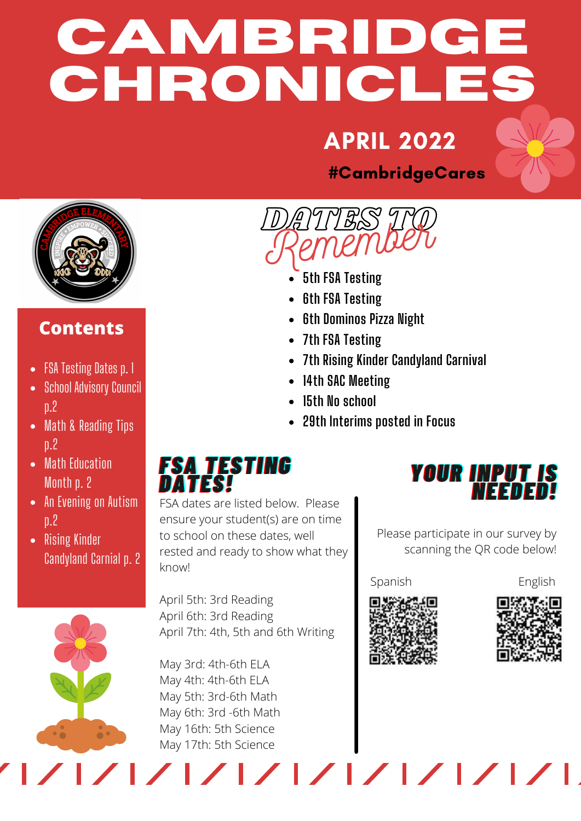# **CAMBRIDGE CHRONICLES**

## APRIL 2022

DATES TO





#### **Contents**

- FSA Testing Dates p. 1
- School Advisory Council p.2
- Math & Reading Tips p.2
- Math Education Month p. 2
- An Evening on Autism p.2
- Rising Kinder Candyland Carnial p. 2

**5th FSA Testing** Remember

- **6th FSA Testing**
- **6th Dominos Pizza Night**
- **7th FSA Testing**
- **7th Rising Kinder Candyland Carnival**
- **14th SAC Meeting**
- **15th No school**
- **29th Interims posted in Focus**

#### *FFSSAA TTEESSTTIINNGG DDAATTEESS!!*

FSA dates are listed below. Please ensure your student(s) are on time to school on these dates, well rested and ready to show what they know!

April 5th: 3rd Reading April 6th: 3rd Reading April 7th: 4th, 5th and 6th Writing

May 3rd: 4th-6th ELA May 4th: 4th-6th ELA May 5th: 3rd-6th Math May 6th: 3rd -6th Math May 16th: 5th Science May 17th: 5th Science



Please participate in our survey by scanning the QR code below!

Spanish English





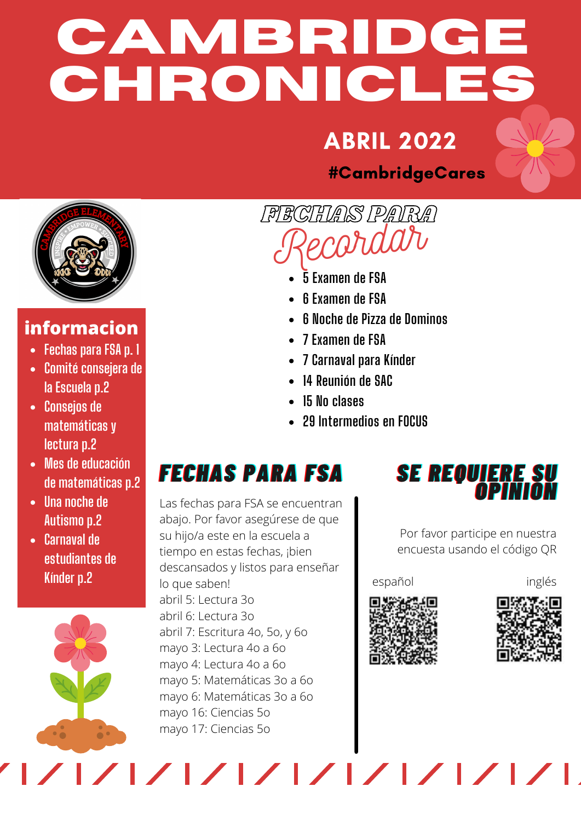# **CAMBRIDGE CHRONICLES**

## ABRIL 2022

#CambridgeCares



#### **informacion**

- **Fechas para FSA p. 1**
- **Comité consejera de la Escuela p.2**
- **Consejos de matemáticas y lectura p.2**
- **Mes de educación de matemáticas p.2**
- **Una noche de Autismo p.2**
- **Carnaval de estudiantes de Kínder p.2**

FECHAS PARA Recordar

- **5 Examen de FSA**
- **6 Examen de FSA**
- **6 Noche de Pizza de Dominos**
- **7 Examen de FSA**
- **7 Carnaval para Kínder**
- **14 Reunión de SAC**
- **15 No clases**
- **29 Intermedios en FOCUS**

## *FFEECCHHAASS PPAARRAA FFSSAA*

Las fechas para FSA se encuentran abajo. Por favor asegúrese de que su hijo/a este en la escuela a tiempo en estas fechas, ¡bien descansados y listos para enseñar lo que saben! abril 5: Lectura 3o abril 6: Lectura 3o abril 7: Escritura 4o, 5o, y 6o mayo 3: Lectura 4o a 6o mayo 4: Lectura 4o a 6o mayo 5: Matemáticas 3o a 6o mayo 6: Matemáticas 3o a 6o mayo 16: Ciencias 5o mayo 17: Ciencias 5o

**SE REQUIERE SU OPINION** 

Por favor participe en nuestra encuesta usando el código QR

#### español inglés



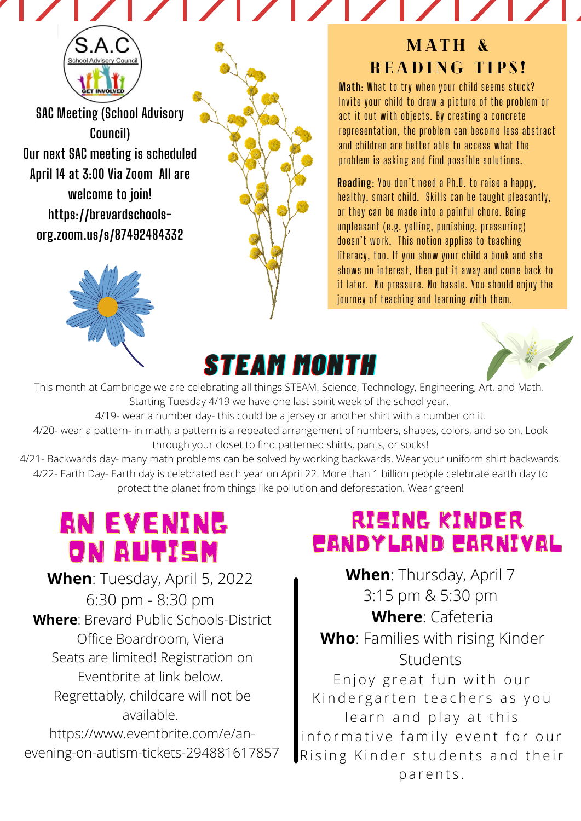**SAC Meeting (School Advisory Council) Our next SAC meeting is scheduled April 14 at 3:00 Via Zoom All are welcome to join! https://brevardschools[org.zoom.us/s/87492484332](https://brevardschools-org.zoom.us/s/87492484332)**



#### MATH & READING TIPS!

**Math**: What to try when your child seems stuck? Invite your child to draw a picture of the problem or act it out with objects. By creating a concrete representation, the problem can become less abstract and children are better able to access what the problem is asking and find possible solutions.

**Reading**: You don't need a Ph.D. to raise a happy, healthy, smart child. Skills can be taught pleasantly, or they can be made into a painful chore. Being unpleasant (e.g. yelling, punishing, pressuring) doesn't work, This notion applies to teaching literacy, too. If you show your child a book and she shows no interest, then put it away and come back to it later. No pressure. No hassle. You should enjoy the journey of teaching and learning with them.

# *SSTTEEAAMM MMOONNTTHH*



This month at Cambridge we are celebrating all things STEAM! Science, Technology, Engineering, Art, and Math. Starting Tuesday 4/19 we have one last spirit week of the school year.

4/19- wear a number day- this could be a jersey or another shirt with a number on it.

4/20- wear a pattern- in math, a pattern is a repeated arrangement of numbers, shapes, colors, and so on. Look through your closet to find patterned shirts, pants, or socks!

4/21- Backwards day- many math problems can be solved by working backwards. Wear your uniform shirt backwards. 4/22- Earth Day- Earth day is celebrated each year on April 22. More than 1 billion people celebrate earth day to protect the planet from things like pollution and deforestation. Wear green!

## AN EVENING ON AUTISM

**When**: Tuesday, April 5, 2022 6:30 pm - 8:30 pm **Where**: Brevard Public Schools-District Office Boardroom, Viera Seats are limited! Registration on Eventbrite at link below. Regrettably, childcare will not be available. https://www.eventbrite.com/e/anevening-on-autism-tickets-294881617857

### RISING KINDER CANDYLAND CARNIVAL

**When**: Thursday, April 7 3:15 pm & 5:30 pm **Where**: Cafeteria **Who**: Families with rising Kinder Students Enjoy great fun with our Kindergarten teachers as you learn and play at this informative family event for our Rising Kinder students and their parents.